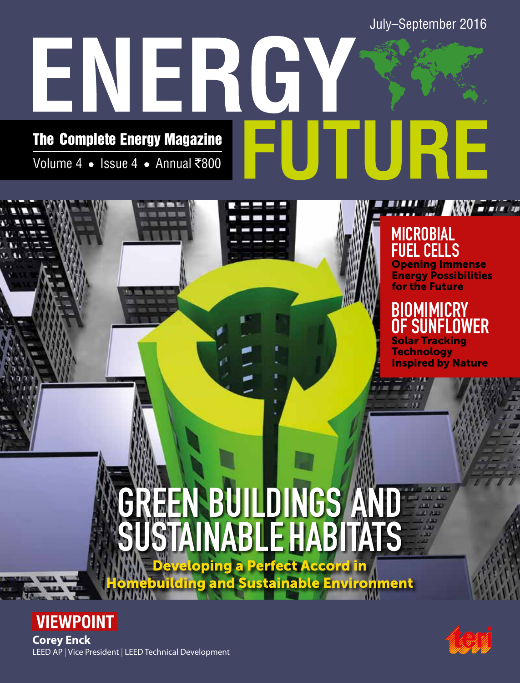July–September 2016

# ENERGY UTURE The Complete Energy Magazine Volume 4 • Issue 4 • Annual ₹800

# **MICROBIAL** FUEL CELLS

Opening Immense Energy Possibilities for the Future

**NAV - - - - - -**

# **BIOMIMICRY SUNFLOWER** Solar Tracking

**Technology** Inspired by Nature

 $711$ 

# Developing a Perfect Accord in GREEN BUILDINGS AND SUSTAINABLE HABITATS

building and Sustainable Environment





LEED AP | Vice President | LEED Technical Development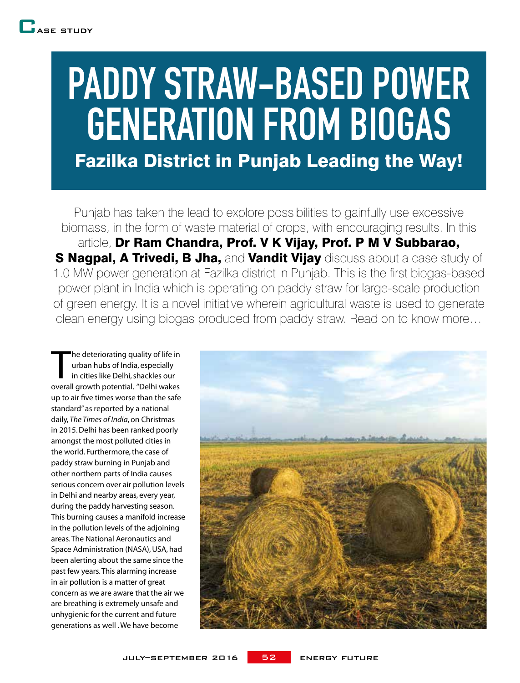# PADDY STRAW-BASED POWER GENERATION FROM BIOGAS Fazilka District in Punjab Leading the Way!

Punjab has taken the lead to explore possibilities to gainfully use excessive biomass, in the form of waste material of crops, with encouraging results. In this article, Dr Ram Chandra, Prof. V K Vijay, Prof. P M V Subbarao, S Nagpal, A Trivedi, B Jha, and Vandit Vijay discuss about a case study of 1.0 MW power generation at Fazilka district in Punjab. This is the first biogas-based power plant in India which is operating on paddy straw for large-scale production of green energy. It is a novel initiative wherein agricultural waste is used to generate clean energy using biogas produced from paddy straw. Read on to know more…

The deteriorating quality of life in<br>
urban hubs of India, especially<br>
in cities like Delhi, shackles our<br>
overall growth potential. "Delhi wakes he deteriorating quality of life in urban hubs of India, especially in cities like Delhi, shackles our up to air five times worse than the safe standard" as reported by a national daily, *The Times of India*, on Christmas in 2015. Delhi has been ranked poorly amongst the most polluted cities in the world. Furthermore, the case of paddy straw burning in Punjab and other northern parts of India causes serious concern over air pollution levels in Delhi and nearby areas, every year, during the paddy harvesting season. This burning causes a manifold increase in the pollution levels of the adjoining areas. The National Aeronautics and Space Administration (NASA), USA, had been alerting about the same since the past few years. This alarming increase in air pollution is a matter of great concern as we are aware that the air we are breathing is extremely unsafe and unhygienic for the current and future generations as well . We have become

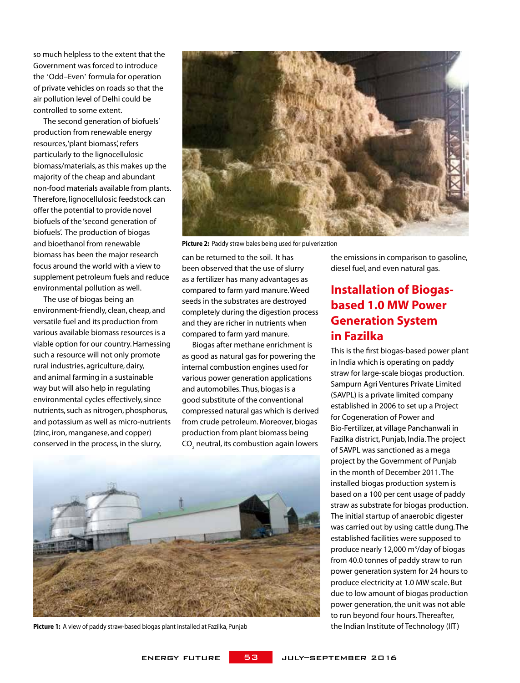so much helpless to the extent that the Government was forced to introduce the 'Odd–Even' formula for operation of private vehicles on roads so that the air pollution level of Delhi could be controlled to some extent.

The second generation of biofuels' production from renewable energy resources, 'plant biomass', refers particularly to the lignocellulosic biomass/materials, as this makes up the majority of the cheap and abundant non-food materials available from plants. Therefore, lignocellulosic feedstock can offer the potential to provide novel biofuels of the 'second generation of biofuels'. The production of biogas and bioethanol from renewable biomass has been the major research focus around the world with a view to supplement petroleum fuels and reduce environmental pollution as well.

The use of biogas being an environment-friendly, clean, cheap, and versatile fuel and its production from various available biomass resources is a viable option for our country. Harnessing such a resource will not only promote rural industries, agriculture, dairy, and animal farming in a sustainable way but will also help in regulating environmental cycles effectively, since nutrients, such as nitrogen, phosphorus, and potassium as well as micro-nutrients (zinc, iron, manganese, and copper) conserved in the process, in the slurry,



**Picture 2:** Paddy straw bales being used for pulverization

can be returned to the soil. It has been observed that the use of slurry as a fertilizer has many advantages as compared to farm yard manure. Weed seeds in the substrates are destroyed completely during the digestion process and they are richer in nutrients when compared to farm yard manure.

Biogas after methane enrichment is as good as natural gas for powering the internal combustion engines used for various power generation applications and automobiles. Thus, biogas is a good substitute of the conventional compressed natural gas which is derived from crude petroleum. Moreover, biogas production from plant biomass being CO<sub>2</sub> neutral, its combustion again lowers



**Picture 1:** A view of paddy straw-based biogas plant installed at Fazilka, Punjab the Indian Institute of Technology (IIT)

the emissions in comparison to gasoline, diesel fuel, and even natural gas.

### **Installation of Biogasbased 1.0 MW Power Generation System in Fazilka**

This is the first biogas-based power plant in India which is operating on paddy straw for large-scale biogas production. Sampurn Agri Ventures Private Limited (SAVPL) is a private limited company established in 2006 to set up a Project for Cogeneration of Power and Bio-Fertilizer, at village Panchanwali in Fazilka district, Punjab, India. The project of SAVPL was sanctioned as a mega project by the Government of Punjab in the month of December 2011. The installed biogas production system is based on a 100 per cent usage of paddy straw as substrate for biogas production. The initial startup of anaerobic digester was carried out by using cattle dung. The established facilities were supposed to produce nearly 12,000 m<sup>3</sup>/day of biogas from 40.0 tonnes of paddy straw to run power generation system for 24 hours to produce electricity at 1.0 MW scale. But due to low amount of biogas production power generation, the unit was not able to run beyond four hours. Thereafter,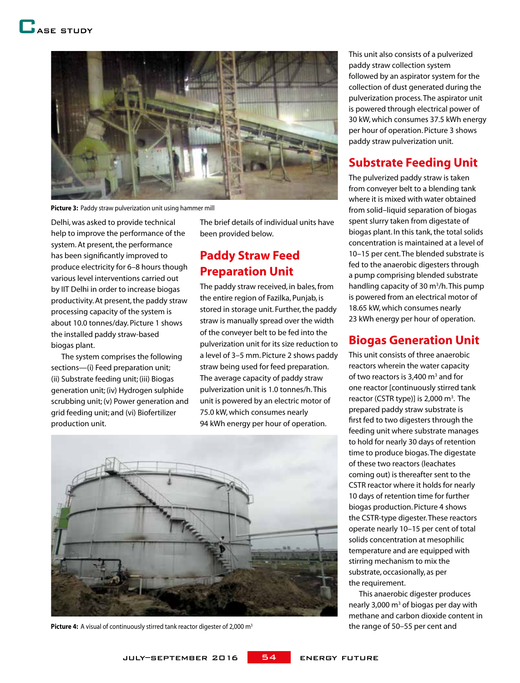

**Picture 3:** Paddy straw pulverization unit using hammer mill

Delhi, was asked to provide technical help to improve the performance of the system. At present, the performance has been significantly improved to produce electricity for 6–8 hours though various level interventions carried out by IIT Delhi in order to increase biogas productivity. At present, the paddy straw processing capacity of the system is about 10.0 tonnes/day. Picture 1 shows the installed paddy straw-based biogas plant.

The system comprises the following sections—(i) Feed preparation unit; (ii) Substrate feeding unit; (iii) Biogas generation unit; (iv) Hydrogen sulphide scrubbing unit; (v) Power generation and grid feeding unit; and (vi) Biofertilizer production unit.

The brief details of individual units have been provided below.

### **Paddy Straw Feed Preparation Unit**

The paddy straw received, in bales, from the entire region of Fazilka, Punjab, is stored in storage unit. Further, the paddy straw is manually spread over the width of the conveyer belt to be fed into the pulverization unit for its size reduction to a level of 3–5 mm. Picture 2 shows paddy straw being used for feed preparation. The average capacity of paddy straw pulverization unit is 1.0 tonnes/h. This unit is powered by an electric motor of 75.0 kW, which consumes nearly 94 kWh energy per hour of operation.



**Picture 4:** A visual of continuously stirred tank reactor digester of 2,000 m<sup>3</sup> the range of 50–55 per cent and

This unit also consists of a pulverized paddy straw collection system followed by an aspirator system for the collection of dust generated during the pulverization process. The aspirator unit is powered through electrical power of 30 kW, which consumes 37.5 kWh energy per hour of operation. Picture 3 shows paddy straw pulverization unit.

#### **Substrate Feeding Unit**

The pulverized paddy straw is taken from conveyer belt to a blending tank where it is mixed with water obtained from solid–liquid separation of biogas spent slurry taken from digestate of biogas plant. In this tank, the total solids concentration is maintained at a level of 10–15 per cent. The blended substrate is fed to the anaerobic digesters through a pump comprising blended substrate handling capacity of 30 m<sup>3</sup>/h. This pump is powered from an electrical motor of 18.65 kW, which consumes nearly 23 kWh energy per hour of operation.

#### **Biogas Generation Unit**

This unit consists of three anaerobic reactors wherein the water capacity of two reactors is 3,400  $\mathsf{m}^{_3}$  and for one reactor [continuously stirred tank reactor (CSTR type)] is 2,000 m<sup>3</sup>. The prepared paddy straw substrate is first fed to two digesters through the feeding unit where substrate manages to hold for nearly 30 days of retention time to produce biogas. The digestate of these two reactors (leachates coming out) is thereafter sent to the CSTR reactor where it holds for nearly 10 days of retention time for further biogas production. Picture 4 shows the CSTR-type digester. These reactors operate nearly 10–15 per cent of total solids concentration at mesophilic temperature and are equipped with stirring mechanism to mix the substrate, occasionally, as per the requirement.

This anaerobic digester produces nearly 3,000 m<sup>3</sup> of biogas per day with methane and carbon dioxide content in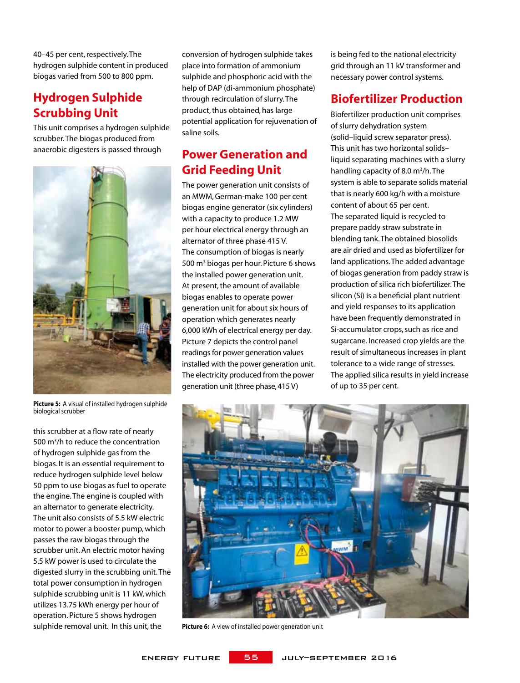40–45 per cent, respectively. The hydrogen sulphide content in produced biogas varied from 500 to 800 ppm.

### **Hydrogen Sulphide Scrubbing Unit**

This unit comprises a hydrogen sulphide scrubber. The biogas produced from anaerobic digesters is passed through



**Picture 5:** A visual of installed hydrogen sulphide biological scrubber

this scrubber at a flow rate of nearly 500 m<sup>3</sup>/h to reduce the concentration of hydrogen sulphide gas from the biogas. It is an essential requirement to reduce hydrogen sulphide level below 50 ppm to use biogas as fuel to operate the engine. The engine is coupled with an alternator to generate electricity. The unit also consists of 5.5 kW electric motor to power a booster pump, which passes the raw biogas through the scrubber unit. An electric motor having 5.5 kW power is used to circulate the digested slurry in the scrubbing unit. The total power consumption in hydrogen sulphide scrubbing unit is 11 kW, which utilizes 13.75 kWh energy per hour of operation. Picture 5 shows hydrogen sulphide removal unit. In this unit, the

conversion of hydrogen sulphide takes place into formation of ammonium sulphide and phosphoric acid with the help of DAP (di-ammonium phosphate) through recirculation of slurry. The product, thus obtained, has large potential application for rejuvenation of saline soils.

## **Power Generation and Grid Feeding Unit**

The power generation unit consists of an MWM, German-make 100 per cent biogas engine generator (six cylinders) with a capacity to produce 1.2 MW per hour electrical energy through an alternator of three phase 415 V. The consumption of biogas is nearly 500 m<sup>3</sup> biogas per hour. Picture 6 shows the installed power generation unit. At present, the amount of available biogas enables to operate power generation unit for about six hours of operation which generates nearly 6,000 kWh of electrical energy per day. Picture 7 depicts the control panel readings for power generation values installed with the power generation unit. The electricity produced from the power generation unit (three phase, 415 V)

is being fed to the national electricity grid through an 11 kV transformer and necessary power control systems.

# **Biofertilizer Production**

Biofertilizer production unit comprises of slurry dehydration system (solid–liquid screw separator press). This unit has two horizontal solids– liquid separating machines with a slurry handling capacity of 8.0 m<sup>3</sup>/h. The system is able to separate solids material that is nearly 600 kg/h with a moisture content of about 65 per cent. The separated liquid is recycled to prepare paddy straw substrate in blending tank. The obtained biosolids are air dried and used as biofertilizer for land applications. The added advantage of biogas generation from paddy straw is production of silica rich biofertilizer. The silicon (Si) is a beneficial plant nutrient and yield responses to its application have been frequently demonstrated in Si-accumulator crops, such as rice and sugarcane. Increased crop yields are the result of simultaneous increases in plant tolerance to a wide range of stresses. The applied silica results in yield increase of up to 35 per cent.



**Picture 6:** A view of installed power generation unit